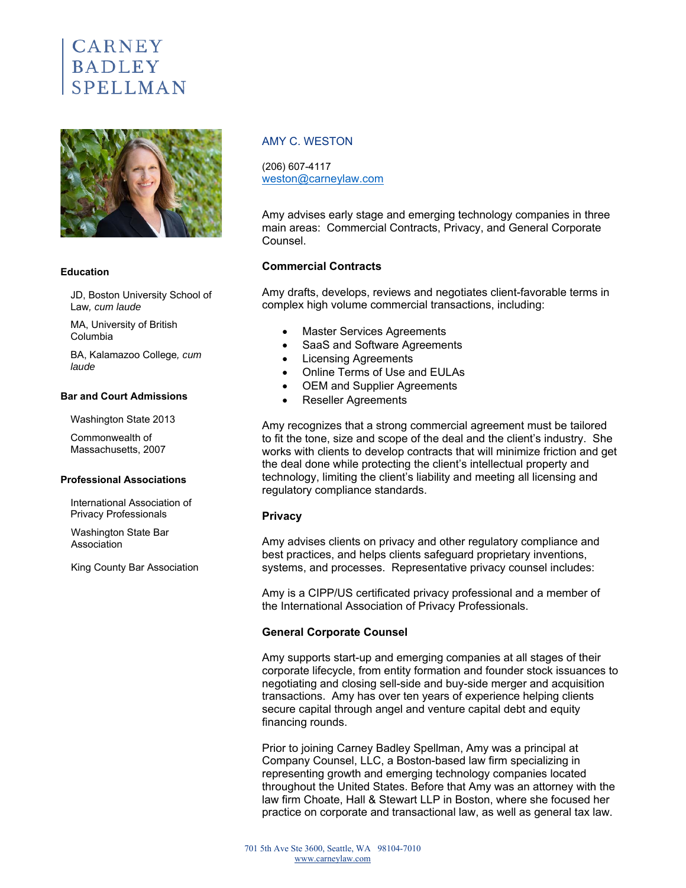# **CARNEY BADLEY** SPELLMAN



#### **Education**

JD, Boston University School of Law*, cum laude* 

MA, University of British Columbia

BA, Kalamazoo College*, cum laude* 

#### **Bar and Court Admissions**

Washington State 2013

Commonwealth of Massachusetts, 2007

#### **Professional Associations**

International Association of Privacy Professionals

Washington State Bar Association

King County Bar Association

## AMY C. WESTON

(206) 607-4117 weston@carneylaw.com

Amy advises early stage and emerging technology companies in three main areas: Commercial Contracts, Privacy, and General Corporate Counsel.

## **Commercial Contracts**

Amy drafts, develops, reviews and negotiates client-favorable terms in complex high volume commercial transactions, including:

- Master Services Agreements
- SaaS and Software Agreements
- Licensing Agreements
- Online Terms of Use and EULAs
- OEM and Supplier Agreements
- Reseller Agreements

Amy recognizes that a strong commercial agreement must be tailored to fit the tone, size and scope of the deal and the client's industry. She works with clients to develop contracts that will minimize friction and get the deal done while protecting the client's intellectual property and technology, limiting the client's liability and meeting all licensing and regulatory compliance standards.

## **Privacy**

Amy advises clients on privacy and other regulatory compliance and best practices, and helps clients safeguard proprietary inventions, systems, and processes. Representative privacy counsel includes:

Amy is a CIPP/US certificated privacy professional and a member of the International Association of Privacy Professionals.

## **General Corporate Counsel**

Amy supports start-up and emerging companies at all stages of their corporate lifecycle, from entity formation and founder stock issuances to negotiating and closing sell-side and buy-side merger and acquisition transactions. Amy has over ten years of experience helping clients secure capital through angel and venture capital debt and equity financing rounds.

Prior to joining Carney Badley Spellman, Amy was a principal at Company Counsel, LLC, a Boston-based law firm specializing in representing growth and emerging technology companies located throughout the United States. Before that Amy was an attorney with the law firm Choate, Hall & Stewart LLP in Boston, where she focused her practice on corporate and transactional law, as well as general tax law.